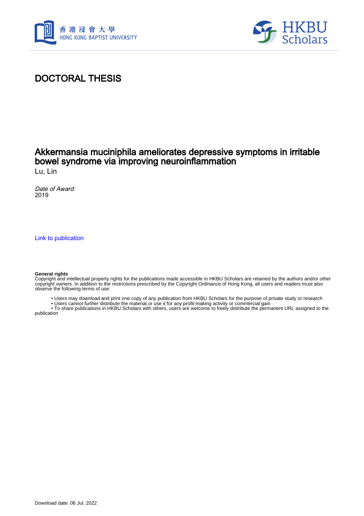



## DOCTORAL THESIS

## Akkermansia muciniphila ameliorates depressive symptoms in irritable bowel syndrome via improving neuroinflammation

Lu, Lin

Date of Award: 2019

[Link to publication](https://scholars.hkbu.edu.hk/en/studentTheses/01cbd5a4-d674-48a9-9db8-69c798f76c25)

#### **General rights**

Copyright and intellectual property rights for the publications made accessible in HKBU Scholars are retained by the authors and/or other copyright owners. In addition to the restrictions prescribed by the Copyright Ordinance of Hong Kong, all users and readers must also observe the following terms of use:

- Users may download and print one copy of any publication from HKBU Scholars for the purpose of private study or research
- Users cannot further distribute the material or use it for any profit-making activity or commercial gain

 • To share publications in HKBU Scholars with others, users are welcome to freely distribute the permanent URL assigned to the publication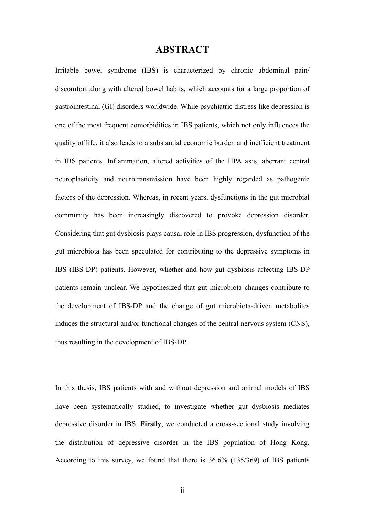### **ABSTRACT**

Irritable bowel syndrome (IBS) is characterized by chronic abdominal pain/ discomfort along with altered bowel habits, which accounts for a large proportion of gastrointestinal (GI) disorders worldwide. While psychiatric distress like depression is one of the most frequent comorbidities in IBS patients, which not only influences the quality of life, it also leads to a substantial economic burden and inefficient treatment in IBS patients. Inflammation, altered activities of the HPA axis, aberrant central neuroplasticity and neurotransmission have been highly regarded as pathogenic factors of the depression. Whereas, in recent years, dysfunctions in the gut microbial community has been increasingly discovered to provoke depression disorder. Considering that gut dysbiosis plays causal role in IBS progression, dysfunction of the gut microbiota has been speculated for contributing to the depressive symptoms in IBS (IBS-DP) patients. However, whether and how gut dysbiosis affecting IBS-DP patients remain unclear. We hypothesized that gut microbiota changes contribute to the development of IBS-DP and the change of gut microbiota-driven metabolites induces the structural and/or functional changes of the central nervous system (CNS), thus resulting in the development of IBS-DP.

In this thesis, IBS patients with and without depression and animal models of IBS have been systematically studied, to investigate whether gut dysbiosis mediates depressive disorder in IBS. **Firstly**, we conducted a cross-sectional study involving the distribution of depressive disorder in the IBS population of Hong Kong. According to this survey, we found that there is 36.6% (135/369) of IBS patients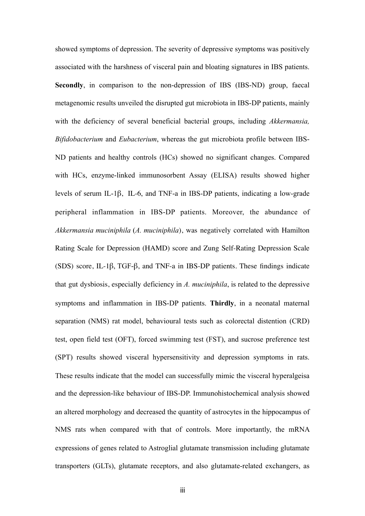showed symptoms of depression. The severity of depressive symptoms was positively associated with the harshness of visceral pain and bloating signatures in IBS patients. **Secondly**, in comparison to the non-depression of IBS (IBS-ND) group, faecal metagenomic results unveiled the disrupted gut microbiota in IBS-DP patients, mainly with the deficiency of several beneficial bacterial groups, including *Akkermansia, Bifidobacterium* and *Eubacterium*, whereas the gut microbiota profile between IBS-ND patients and healthy controls (HCs) showed no significant changes. Compared with HCs, enzyme-linked immunosorbent Assay (ELISA) results showed higher levels of serum IL-1β, IL-6, and TNF-a in IBS-DP patients, indicating a low-grade peripheral inflammation in IBS-DP patients. Moreover, the abundance of *Akkermansia muciniphila* (*A. muciniphila*), was negatively correlated with Hamilton Rating Scale for Depression (HAMD) score and Zung Self-Rating Depression Scale (SDS) score, IL-1β, TGF-β, and TNF-a in IBS-DP patients. These findings indicate that gut dysbiosis, especially deficiency in *A. muciniphila*, is related to the depressive symptoms and inflammation in IBS-DP patients. **Thirdly**, in a neonatal maternal separation (NMS) rat model, behavioural tests such as colorectal distention (CRD) test, open field test (OFT), forced swimming test (FST), and sucrose preference test (SPT) results showed visceral hypersensitivity and depression symptoms in rats. These results indicate that the model can successfully mimic the visceral hyperalgeisa and the depression-like behaviour of IBS-DP. Immunohistochemical analysis showed an altered morphology and decreased the quantity of astrocytes in the hippocampus of NMS rats when compared with that of controls. More importantly, the mRNA expressions of genes related to Astroglial glutamate transmission including glutamate transporters (GLTs), glutamate receptors, and also glutamate-related exchangers, as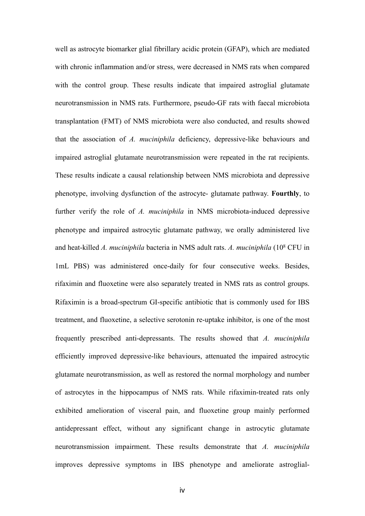well as astrocyte biomarker glial fibrillary acidic protein (GFAP), which are mediated with chronic inflammation and/or stress, were decreased in NMS rats when compared with the control group. These results indicate that impaired astroglial glutamate neurotransmission in NMS rats. Furthermore, pseudo-GF rats with faecal microbiota transplantation (FMT) of NMS microbiota were also conducted, and results showed that the association of *A. muciniphila* deficiency, depressive-like behaviours and impaired astroglial glutamate neurotransmission were repeated in the rat recipients. These results indicate a causal relationship between NMS microbiota and depressive phenotype, involving dysfunction of the astrocyte- glutamate pathway. **Fourthly**, to further verify the role of *A. muciniphila* in NMS microbiota-induced depressive phenotype and impaired astrocytic glutamate pathway, we orally administered live and heat-killed *A. muciniphila* bacteria in NMS adult rats. *A. muciniphila* (108 CFU in 1mL PBS) was administered once-daily for four consecutive weeks. Besides, rifaximin and fluoxetine were also separately treated in NMS rats as control groups. Rifaximin is a broad-spectrum GI-specific antibiotic that is commonly used for IBS treatment, and fluoxetine, a selective serotonin re-uptake inhibitor, is one of the most frequently prescribed anti-depressants. The results showed that *A. muciniphila*  efficiently improved depressive-like behaviours, attenuated the impaired astrocytic glutamate neurotransmission, as well as restored the normal morphology and number of astrocytes in the hippocampus of NMS rats. While rifaximin-treated rats only exhibited amelioration of visceral pain, and fluoxetine group mainly performed antidepressant effect, without any significant change in astrocytic glutamate neurotransmission impairment. These results demonstrate that *A. muciniphila* improves depressive symptoms in IBS phenotype and ameliorate astroglial-

iv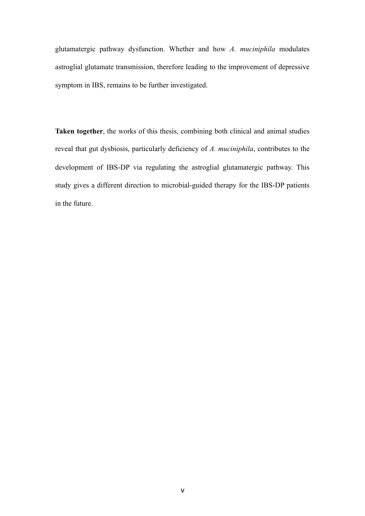glutamatergic pathway dysfunction. Whether and how *A. muciniphila* modulates astroglial glutamate transmission, therefore leading to the improvement of depressive symptom in IBS, remains to be further investigated.

**Taken together**, the works of this thesis, combining both clinical and animal studies reveal that gut dysbiosis, particularly deficiency of *A. muciniphila*, contributes to the development of IBS-DP via regulating the astroglial glutamatergic pathway. This study gives a different direction to microbial-guided therapy for the IBS-DP patients in the future.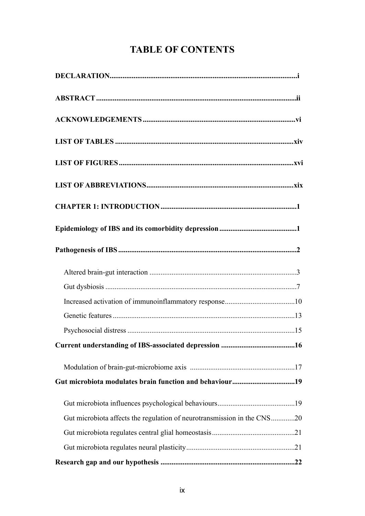# **TABLE OF CONTENTS**

| Gut microbiota modulates brain function and behaviour19                 |
|-------------------------------------------------------------------------|
|                                                                         |
| Gut microbiota affects the regulation of neurotransmission in the CNS20 |
|                                                                         |
|                                                                         |
|                                                                         |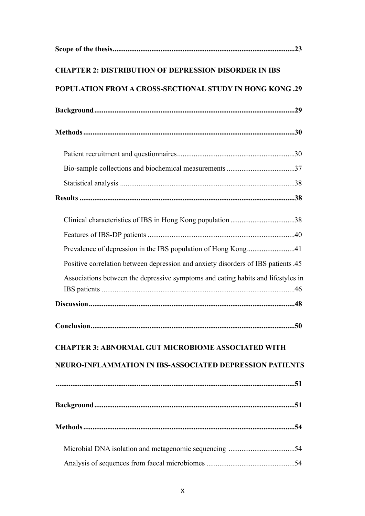| <b>CHAPTER 2: DISTRIBUTION OF DEPRESSION DISORDER IN IBS</b>                      |
|-----------------------------------------------------------------------------------|
| <b>POPULATION FROM A CROSS-SECTIONAL STUDY IN HONG KONG .29</b>                   |
|                                                                                   |
|                                                                                   |
|                                                                                   |
|                                                                                   |
|                                                                                   |
|                                                                                   |
|                                                                                   |
|                                                                                   |
|                                                                                   |
| Positive correlation between depression and anxiety disorders of IBS patients .45 |
| Associations between the depressive symptoms and eating habits and lifestyles in  |
|                                                                                   |
|                                                                                   |
| <b>CHAPTER 3: ABNORMAL GUT MICROBIOME ASSOCIATED WITH</b>                         |
| NEURO-INFLAMMATION IN IBS-ASSOCIATED DEPRESSION PATIENTS                          |
|                                                                                   |
|                                                                                   |
|                                                                                   |
|                                                                                   |
|                                                                                   |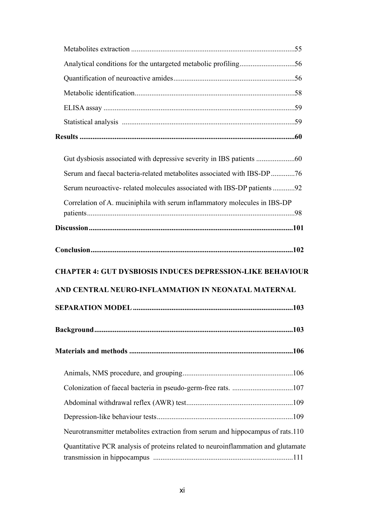| Serum and faecal bacteria-related metabolites associated with IBS-DP76         |  |
|--------------------------------------------------------------------------------|--|
| Serum neuroactive- related molecules associated with IBS-DP patients 92        |  |
| Correlation of A. muciniphila with serum inflammatory molecules in IBS-DP      |  |
|                                                                                |  |
|                                                                                |  |
| <b>CHAPTER 4: GUT DYSBIOSIS INDUCES DEPRESSION-LIKE BEHAVIOUR</b>              |  |
| AND CENTRAL NEURO-INFLAMMATION IN NEONATAL MATERNAL                            |  |
|                                                                                |  |
|                                                                                |  |
|                                                                                |  |
|                                                                                |  |
|                                                                                |  |
|                                                                                |  |
| Neurotransmitter metabolites extraction from serum and hippocampus of rats.110 |  |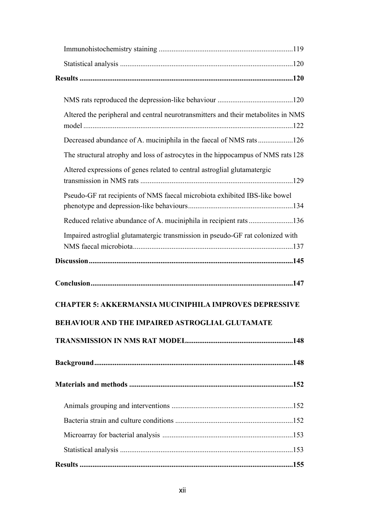| Altered the peripheral and central neurotransmitters and their metabolites in NMS |  |
|-----------------------------------------------------------------------------------|--|
| Decreased abundance of A. muciniphila in the faecal of NMS rats126                |  |
| The structural atrophy and loss of astrocytes in the hippocampus of NMS rats 128  |  |
| Altered expressions of genes related to central astroglial glutamatergic          |  |
| Pseudo-GF rat recipients of NMS faecal microbiota exhibited IBS-like bowel        |  |
| Reduced relative abundance of A. muciniphila in recipient rats136                 |  |
| Impaired astroglial glutamatergic transmission in pseudo-GF rat colonized with    |  |
|                                                                                   |  |
|                                                                                   |  |
| <b>CHAPTER 5: AKKERMANSIA MUCINIPHILA IMPROVES DEPRESSIVE</b>                     |  |
| <b>BEHAVIOUR AND THE IMPAIRED ASTROGLIAL GLUTAMATE</b>                            |  |
|                                                                                   |  |
|                                                                                   |  |
|                                                                                   |  |
|                                                                                   |  |
|                                                                                   |  |
|                                                                                   |  |
|                                                                                   |  |
|                                                                                   |  |